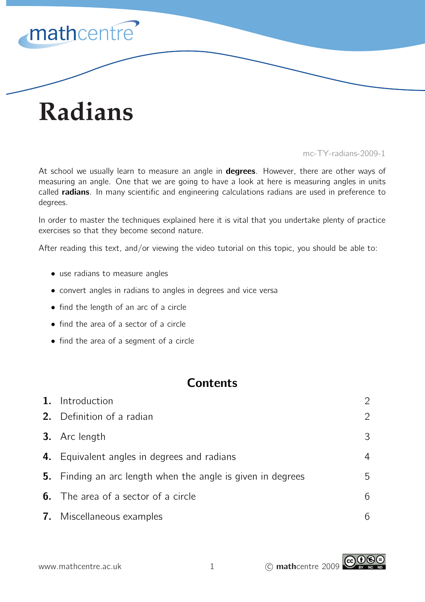

# **Radians**

mc-TY-radians-2009-1

At school we usually learn to measure an angle in **degrees**. However, there are other ways of measuring an angle. One that we are going to have a look at here is measuring angles in units called **radians**. In many scientific and engineering calculations radians are used in preference to degrees.

In order to master the techniques explained here it is vital that you undertake plenty of practice exercises so that they become second nature.

After reading this text, and/or viewing the video tutorial on this topic, you should be able to:

- use radians to measure angles
- convert angles in radians to angles in degrees and vice versa
- find the length of an arc of a circle
- find the area of a sector of a circle
- find the area of a segment of a circle

## **Contents**

| 1. | Introduction                                                |   |
|----|-------------------------------------------------------------|---|
|    | 2. Definition of a radian                                   |   |
|    | 3. Arc length                                               | З |
|    | 4. Equivalent angles in degrees and radians                 | 4 |
|    | 5. Finding an arc length when the angle is given in degrees | 5 |
|    | <b>6.</b> The area of a sector of a circle                  |   |
|    | <b>7.</b> Miscellaneous examples                            |   |

www.mathcentre.ac.uk 1 C mathcentre 2009

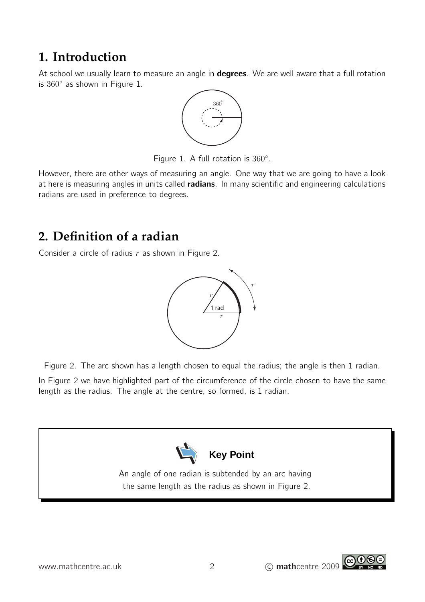# **1. Introduction**

At school we usually learn to measure an angle in **degrees**. We are well aware that a full rotation is 360◦ as shown in Figure 1.



Figure 1. A full rotation is  $360^\circ$ .

However, there are other ways of measuring an angle. One way that we are going to have a look at here is measuring angles in units called **radians**. In many scientific and engineering calculations radians are used in preference to degrees.

# **2. Definition of a radian**

Consider a circle of radius  $r$  as shown in Figure 2.



Figure 2. The arc shown has a length chosen to equal the radius; the angle is then 1 radian.

In Figure 2 we have highlighted part of the circumference of the circle chosen to have the same length as the radius. The angle at the centre, so formed, is 1 radian.



An angle of one radian is subtended by an arc having the same length as the radius as shown in Figure 2.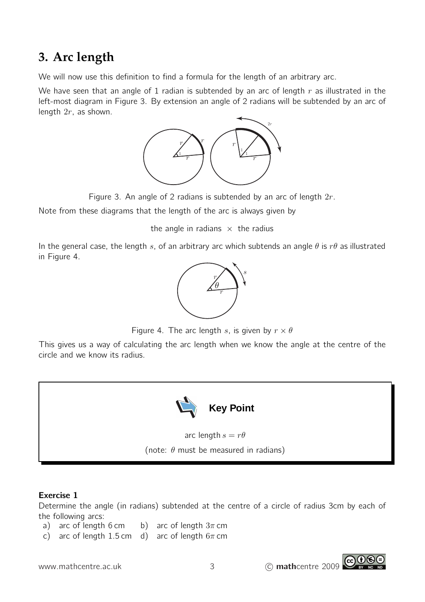# **3. Arc length**

We will now use this definition to find a formula for the length of an arbitrary arc.

We have seen that an angle of 1 radian is subtended by an arc of length  $r$  as illustrated in the left-most diagram in Figure 3. By extension an angle of 2 radians will be subtended by an arc of length  $2r$ , as shown.



Figure 3. An angle of 2 radians is subtended by an arc of length  $2r$ .

Note from these diagrams that the length of the arc is always given by

the angle in radians  $\times$  the radius

In the general case, the length s, of an arbitrary arc which subtends an angle  $\theta$  is  $r\theta$  as illustrated in Figure 4.



Figure 4. The arc length s, is given by  $r \times \theta$ 

This gives us a way of calculating the arc length when we know the angle at the centre of the circle and we know its radius.



## Exercise 1

Determine the angle (in radians) subtended at the centre of a circle of radius 3cm by each of the following arcs:

- a) arc of length 6 cm b) arc of length  $3\pi$  cm
- c) arc of length 1.5 cm d) arc of length  $6\pi$  cm

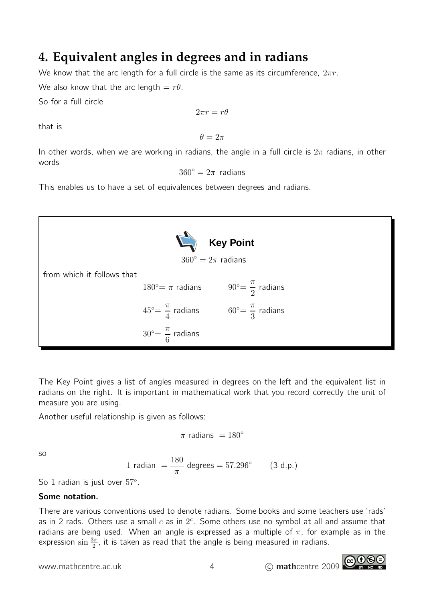# **4. Equivalent angles in degrees and in radians**

We know that the arc length for a full circle is the same as its circumference,  $2\pi r$ .

We also know that the arc length  $=r\theta$ .

So for a full circle

$$
2\pi r = r\theta
$$

that is

 $\theta = 2\pi$ 

In other words, when we are working in radians, the angle in a full circle is  $2\pi$  radians, in other words

 $360^\circ = 2\pi$  radians

This enables us to have a set of equivalences between degrees and radians.



The Key Point gives a list of angles measured in degrees on the left and the equivalent list in radians on the right. It is important in mathematical work that you record correctly the unit of measure you are using.

Another useful relationship is given as follows:

$$
\pi \text{ radians } = 180^{\circ}
$$

so

1 radian = 
$$
\frac{180}{\pi}
$$
 degrees = 57.296° (3 d.p.)

So 1 radian is just over  $57^\circ$ .

## Some notation.

There are various conventions used to denote radians. Some books and some teachers use 'rads' as in 2 rads. Others use a small  $c$  as in  $2^c$ . Some others use no symbol at all and assume that radians are being used. When an angle is expressed as a multiple of  $\pi$ , for example as in the expression  $\sin \frac{3\pi}{2}$ , it is taken as read that the angle is being measured in radians.

www.mathcentre.ac.uk 4 c mathcentre 2009

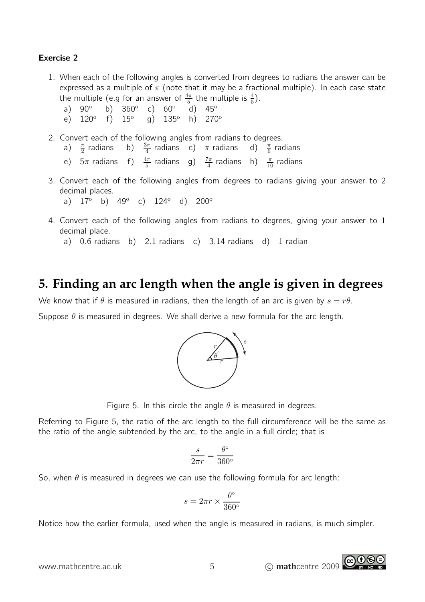#### Exercise 2

- 1. When each of the following angles is converted from degrees to radians the answer can be expressed as a multiple of  $\pi$  (note that it may be a fractional multiple). In each case state the multiple (e.g for an answer of  $\frac{4\pi}{5}$  the multiple is  $\frac{4}{5}$ ).
	- a) 90° b) 360° c) 60°  $\mathrm{d})$  45°
	- e)  $120^\circ$ f)  $15^{\circ}$  g)  $135^{\circ}$  h)  $270^{\circ}$
- 2. Convert each of the following angles from radians to degrees.
	- a)  $\frac{\pi}{2}$  radians b)  $\frac{3\pi}{4}$  radians c)  $\pi$  radians d)  $\frac{\pi}{6}$  radians
	- e)  $5\pi$  radians f)  $\frac{4\pi}{5}$  radians g)  $\frac{7\pi}{4}$  radians h)  $\frac{\pi}{10}$  radians
- 3. Convert each of the following angles from degrees to radians giving your answer to 2 decimal places.

a)  $17^{\circ}$  b)  $49^{\circ}$  c)  $124^{\circ}$  d)  $200^{\circ}$ 

4. Convert each of the following angles from radians to degrees, giving your answer to 1 decimal place.

a) 0.6 radians b) 2.1 radians c) 3.14 radians d) 1 radian

## **5. Finding an arc length when the angle is given in degrees**

We know that if  $\theta$  is measured in radians, then the length of an arc is given by  $s = r\theta$ .

Suppose  $\theta$  is measured in degrees. We shall derive a new formula for the arc length.



Figure 5. In this circle the angle  $\theta$  is measured in degrees.

Referring to Figure 5, the ratio of the arc length to the full circumference will be the same as the ratio of the angle subtended by the arc, to the angle in a full circle; that is

$$
\frac{s}{2\pi r} = \frac{\theta^{\circ}}{360^{\circ}}
$$

So, when  $\theta$  is measured in degrees we can use the following formula for arc length:

$$
s=2\pi r \times \frac{\theta^\circ}{360^\circ}
$$

Notice how the earlier formula, used when the angle is measured in radians, is much simpler.

www.mathcentre.ac.uk 5 c mathcentre 2009

ெ⊕

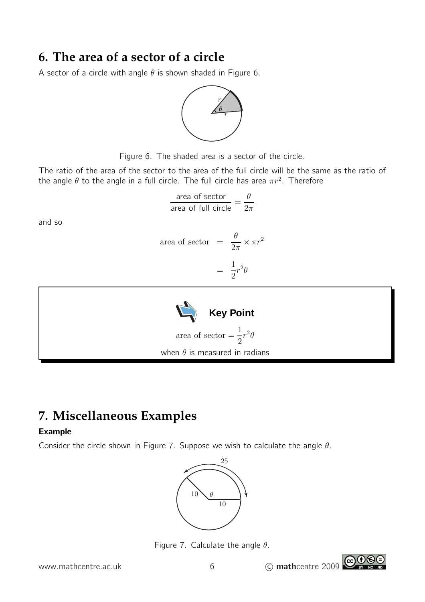## **6. The area of a sector of a circle**

A sector of a circle with angle  $\theta$  is shown shaded in Figure 6.





The ratio of the area of the sector to the area of the full circle will be the same as the ratio of the angle  $\theta$  to the angle in a full circle. The full circle has area  $\pi r^2$ . Therefore

$$
\frac{\text{area of sector}}{\text{area of full circle}} = \frac{\theta}{2\pi}
$$

 $\overline{2\pi}$ 

1 2  $r^2\theta$ 

=

 $\times \pi r^2$ 

area of sector  $=$   $\frac{\theta}{2}$ 

and so

Key Point  
area of sector 
$$
=
$$
  $\frac{1}{2}r^2\theta$   
when  $\theta$  is measured in radians

# **7. Miscellaneous Examples**

## Example

Consider the circle shown in Figure 7. Suppose we wish to calculate the angle  $\theta$ .





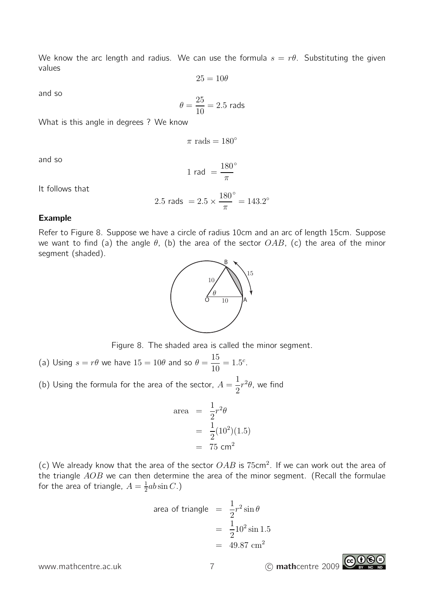We know the arc length and radius. We can use the formula  $s = r\theta$ . Substituting the given values

$$
25=10\theta
$$

and so

$$
\theta = \frac{25}{10} = 2.5
$$
 rads

What is this angle in degrees ? We know

 $\pi$  rads = 180 $\degree$ 

and so

$$
1 \text{ rad } = \frac{180^{\circ}}{\pi}
$$

It follows that

2.5 rads = 
$$
2.5 \times \frac{180^{\circ}}{\pi} = 143.2^{\circ}
$$

#### Example

Refer to Figure 8. Suppose we have a circle of radius 10cm and an arc of length 15cm. Suppose we want to find (a) the angle  $\theta$ , (b) the area of the sector  $OAB$ , (c) the area of the minor segment (shaded).



Figure 8. The shaded area is called the minor segment.

- (a) Using  $s = r\theta$  we have  $15 = 10\theta$  and so  $\theta = \frac{15}{10}$ 10  $= 1.5^c$ .
- (b) Using the formula for the area of the sector,  $A=\frac{1}{2}$ 2  $r^2\theta$ , we find

area 
$$
=\frac{1}{2}r^2\theta
$$
  
 $=\frac{1}{2}(10^2)(1.5)$   
 $=75 \text{ cm}^2$ 

(c) We already know that the area of the sector  $OAB$  is  $75cm^2$ . If we can work out the area of the triangle  $AOB$  we can then determine the area of the minor segment. (Recall the formulae for the area of triangle,  $A = \frac{1}{2}$  $\frac{1}{2}ab\sin C.$ )

area of triangle 
$$
= \frac{1}{2}r^2 \sin \theta
$$

$$
= \frac{1}{2}10^2 \sin 1.5
$$

$$
= 49.87 \text{ cm}^2
$$

www.mathcentre.ac.uk 7 c mathcentre 2009